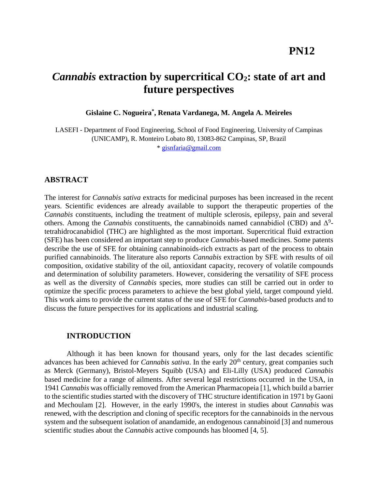## **PN12**

# *Cannabis* **extraction by supercritical CO2: state of art and future perspectives**

**Gislaine C. Nogueira\* , Renata Vardanega, M. Angela A. Meireles**

LASEFI - Department of Food Engineering, School of Food Engineering, University of Campinas (UNICAMP), R. Monteiro Lobato 80, 13083-862 Campinas, SP, Brazil \* [gisnfaria@gmail.com](mailto:gisnfaria@gmail.com)

## **ABSTRACT**

The interest for *Cannabis sativa* extracts for medicinal purposes has been increased in the recent years. Scientific evidences are already available to support the therapeutic properties of the *Cannabis* constituents, including the treatment of multiple sclerosis, epilepsy, pain and several others. Among the *Cannabis* constituents, the cannabinoids named cannabidiol (CBD) and  $\Delta^9$ tetrahidrocanabidiol (THC) are highlighted as the most important. Supercritical fluid extraction (SFE) has been considered an important step to produce *Cannabis*-based medicines. Some patents describe the use of SFE for obtaining cannabinoids-rich extracts as part of the process to obtain purified cannabinoids. The literature also reports *Cannabis* extraction by SFE with results of oil composition, oxidative stability of the oil, antioxidant capacity, recovery of volatile compounds and determination of solubility parameters. However, considering the versatility of SFE process as well as the diversity of *Cannabis* species, more studies can still be carried out in order to optimize the specific process parameters to achieve the best global yield, target compound yield. This work aims to provide the current status of the use of SFE for *Cannabis*-based products and to discuss the future perspectives for its applications and industrial scaling.

## **INTRODUCTION**

Although it has been known for thousand years, only for the last decades scientific advances has been achieved for *Cannabis sativa*. In the early 20<sup>th</sup> century, great companies such as Merck (Germany), Bristol-Meyers Squibb (USA) and Eli-Lilly (USA) produced *Cannabis* based medicine for a range of ailments. After several legal restrictions occurred in the USA, in 1941 *Cannabis* was officially removed from the American Pharmacopeia [\[1\]](#page-5-0), which build a barrier to the scientific studies started with the discovery of THC structure identification in 1971 by [Gaoni](#page-5-1) and [Mechoulam](#page-5-1) [2]. However, in the early 1990's, the interest in studies about *Cannabis* was renewed, with the description and cloning of specific receptors for the cannabinoids in the nervous system and the subsequent isolation of anandamide, an endogenous cannabinoid [\[3\]](#page-5-2) and numerous scientific studies about the *Cannabis* active compounds has bloomed [\[4,](#page-5-3) [5\]](#page-6-0).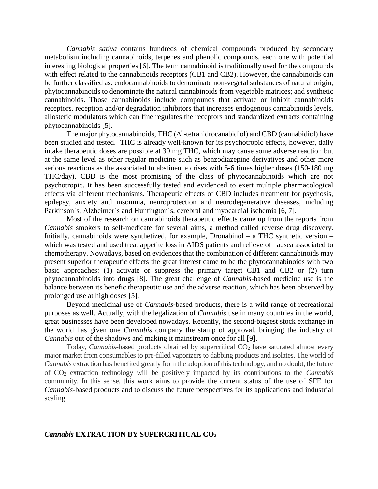*Cannabis sativa* contains hundreds of chemical compounds produced by secondary metabolism including cannabinoids, terpenes and phenolic compounds, each one with potential interesting biological properties [\[6\]](#page-6-1). The term cannabinoid is traditionally used for the compounds with effect related to the cannabinoids receptors (CB1 and CB2). However, the cannabinoids can be further classified as: endocannabinoids to denominate non-vegetal substances of natural origin; phytocannabinoids to denominate the natural cannabinoids from vegetable matrices; and synthetic cannabinoids. Those cannabinoids include compounds that activate or inhibit cannabinoids receptors, reception and/or degradation inhibitors that increases endogenous cannabinoids levels, allosteric modulators which can fine regulates the receptors and standardized extracts containing phytocannabinoids [\[5\]](#page-6-0).

The major phytocannabinoids, THC  $(\Delta^9$ -tetrahidrocanabidiol) and CBD (cannabidiol) have been studied and tested. THC is already well-known for its psychotropic effects, however, daily intake therapeutic doses are possible at 30 mg THC, which may cause some adverse reaction but at the same level as other regular medicine such as benzodiazepine derivatives and other more serious reactions as the associated to abstinence crises with 5-6 times higher doses (150-180 mg THC/day). CBD is the most promising of the class of phytocannabinoids which are not psychotropic. It has been successfully tested and evidenced to exert multiple pharmacological effects via different mechanisms. Therapeutic effects of CBD includes treatment for psychosis, epilepsy, anxiety and insomnia, neuroprotection and neurodegenerative diseases, including Parkinson´s, Alzheimer´s and Huntington´s, cerebral and myocardial ischemia [\[6,](#page-6-1) [7\]](#page-6-2).

Most of the research on cannabinoids therapeutic effects came up from the reports from *Cannabis* smokers to self-medicate for several aims, a method called reverse drug discovery. Initially, cannabinoids were synthetized, for example, Dronabinol – a THC synthetic version – which was tested and used treat appetite loss in AIDS patients and relieve of nausea associated to chemotherapy. Nowadays, based on evidences that the combination of different cannabinoids may present superior therapeutic effects the great interest came to be the phytocannabinoids with two basic approaches: (1) activate or suppress the primary target CB1 and CB2 or (2) turn phytocannabinoids into drugs [\[8\]](#page-6-3). The great challenge of *Cannabis*-based medicine use is the balance between its benefic therapeutic use and the adverse reaction, which has been observed by prolonged use at high doses [\[5\]](#page-6-0).

Beyond medicinal use of *Cannabis*-based products, there is a wild range of recreational purposes as well. Actually, with the legalization of *Cannabis* use in many countries in the world, great businesses have been developed nowadays. Recently, the second-biggest stock exchange in the world has given one *Cannabis* company the stamp of approval, bringing the industry of *Cannabis* out of the shadows and making it mainstream once for all [\[9\]](#page-6-4).

Today, *Cannabis*-based products obtained by supercritical CO<sub>2</sub> have saturated almost every major market from consumables to pre-filled vaporizers to dabbing products and isolates. The world of *Cannabis* extraction has benefited greatly from the adoption of this technology, and no doubt, the future of CO<sup>2</sup> extraction technology will be positively impacted by its contributions to the *Cannabis* community. In this sense, this work aims to provide the current status of the use of SFE for *Cannabis*-based products and to discuss the future perspectives for its applications and industrial scaling.

#### *Cannabis* **EXTRACTION BY SUPERCRITICAL CO<sup>2</sup>**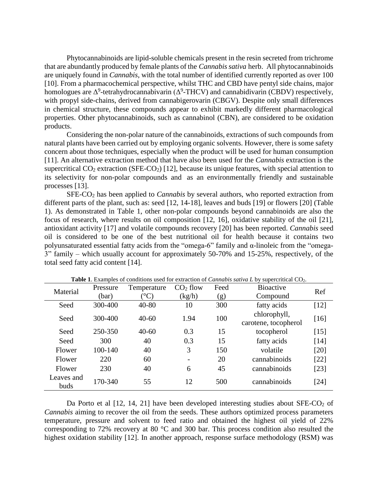Phytocannabinoids are lipid-soluble chemicals present in the resin secreted from trichrome that are abundantly produced by female plants of the *Cannabis sativa* herb. All phytocannabinoids are uniquely found in *Cannabis*, with the total number of identified currently reported as over 100 [\[10\]](#page-6-5). From a pharmacochemical perspective, whilst THC and CBD have pentyl side chains, major homologues are  $\Delta^9$ -tetrahydrocannabivarin ( $\Delta^9$ -THCV) and cannabidivarin (CBDV) respectively, with propyl side-chains, derived from cannabigerovarin (CBGV). Despite only small differences in chemical structure, these compounds appear to exhibit markedly different pharmacological properties. Other phytocannabinoids, such as cannabinol (CBN), are considered to be oxidation products.

Considering the non-polar nature of the cannabinoids, extractions of such compounds from natural plants have been carried out by employing organic solvents. However, there is some safety concern about those techniques, especially when the product will be used for human consumption [\[11\]](#page-6-6). An alternative extraction method that have also been used for the *Cannabis* extraction is the supercritical  $CO_2$  extraction (SFE-CO<sub>2</sub>) [\[12\]](#page-6-7), because its unique features, with special attention to its selectivity for non-polar compounds and as an environmentally friendly and sustainable processes [\[13\]](#page-6-8).

SFE-CO<sup>2</sup> has been applied to *Cannabis* by several authors, who reported extraction from different parts of the plant, such as: seed [\[12,](#page-6-7) [14-18\]](#page-6-9), leaves and buds [\[19\]](#page-6-10) or flowers [\[20\]](#page-6-11) (Table 1). As demonstrated in Table 1, other non-polar compounds beyond cannabinoids are also the focus of research, where results on oil composition [\[12,](#page-6-7) [16\]](#page-6-12), oxidative stability of the oil [\[21\]](#page-6-13), antioxidant activity [\[17\]](#page-6-14) and volatile compounds recovery [\[20\]](#page-6-11) has been reported. *Cannabis* seed oil is considered to be one of the best nutritional oil for health because it contains two polyunsaturated essential fatty acids from the "omega-6" family and α-linoleic from the "omega-3" family – which usually account for approximately 50-70% and 15-25%, respectively, of the total seed fatty acid content [\[14\]](#page-6-9).

| Material           | Pressure | Temperature      | $CO2$ flow               | Feed | <b>Bioactive</b>                     | Ref    |
|--------------------|----------|------------------|--------------------------|------|--------------------------------------|--------|
|                    | (bar)    | $\rm ^{\circ}C)$ | (kg/h)                   | (g)  | Compound                             |        |
| Seed               | 300-400  | $40 - 80$        | 10                       | 300  | fatty acids                          | $[12]$ |
| Seed               | 300-400  | $40 - 60$        | 1.94                     | 100  | chlorophyll,<br>carotene, tocopherol | $[16]$ |
| Seed               | 250-350  | $40 - 60$        | 0.3                      | 15   | tocopherol                           | $[15]$ |
| Seed               | 300      | 40               | 0.3                      | 15   | fatty acids                          | [14]   |
| Flower             | 100-140  | 40               | 3                        | 150  | volatile                             | [20]   |
| Flower             | 220      | 60               | $\overline{\phantom{0}}$ | 20   | cannabinoids                         | $[22]$ |
| Flower             | 230      | 40               | 6                        | 45   | cannabinoids                         | $[23]$ |
| Leaves and<br>buds | 170-340  | 55               | 12                       | 500  | cannabinoids                         | [24]   |

**Table 1**. Examples of conditions used for extraction of *Cannabis sativa L* by supercritical CO2.

Da Porto et al  $[12, 14, 21]$  $[12, 14, 21]$  $[12, 14, 21]$  $[12, 14, 21]$  $[12, 14, 21]$  have been developed interesting studies about SFE-CO<sub>2</sub> of *Cannabis* aiming to recover the oil from the seeds. These authors optimized process parameters temperature, pressure and solvent to feed ratio and obtained the highest oil yield of 22% corresponding to 72% recovery at 80 °C and 300 bar. This process condition also resulted the highest oxidation stability [\[12\]](#page-6-7). In another approach, response surface methodology (RSM) was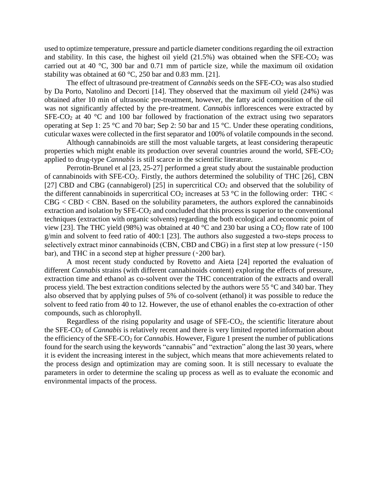used to optimize temperature, pressure and particle diameter conditionsregarding the oil extraction and stability. In this case, the highest oil yield  $(21.5%)$  was obtained when the SFE-CO<sub>2</sub> was carried out at 40 °C, 300 bar and 0.71 mm of particle size, while the maximum oil oxidation stability was obtained at 60 °C, 250 bar and 0.83 mm. [\[21\]](#page-6-13).

The effect of ultrasound pre-treatment of *Cannabis* seeds on the SFE-CO<sub>2</sub> was also studied by Da Porto, [Natolino](#page-6-9) and Decorti [14]. They observed that the maximum oil yield (24%) was obtained after 10 min of ultrasonic pre-treatment, however, the fatty acid composition of the oil was not significantly affected by the pre-treatment. *Cannabis* inflorescences were extracted by SFE-CO<sub>2</sub> at 40  $^{\circ}$ C and 100 bar followed by fractionation of the extract using two separators operating at Sep 1: 25 °C and 70 bar; Sep 2: 50 bar and 15 °C. Under these operating conditions, cuticular waxes were collected in the first separator and 100% of volatile compounds in the second.

Although cannabinoids are still the most valuable targets, at least considering therapeutic properties which might enable its production over several countries around the world,  $SFE-CO<sub>2</sub>$ applied to drug-type *Cannabis* is still scarce in the scientific literature.

Perrotin-Brunel et al [\[23,](#page-6-17) [25-27\]](#page-7-0) performed a great study about the sustainable production of cannabinoids with SFE-CO2. Firstly, the authors determined the solubility of THC [\[26\]](#page-7-1), CBN [\[27\]](#page-7-2) CBD and CBG (cannabigerol) [\[25\]](#page-7-0) in supercritical  $CO<sub>2</sub>$  and observed that the solubility of the different cannabinoids in supercritical  $CO_2$  increases at 53 °C in the following order: THC <  $CBG < CBD < CBN$ . Based on the solubility parameters, the authors explored the cannabinoids extraction and isolation by  $SFE-CO<sub>2</sub>$  and concluded that this process is superior to the conventional techniques (extraction with organic solvents) regarding the both ecological and economic point of view [\[23\]](#page-6-17). The THC yield (98%) was obtained at 40  $^{\circ}$ C and 230 bar using a CO<sub>2</sub> flow rate of 100 g/min and solvent to feed ratio of 400:1 [\[23\]](#page-6-17). The authors also suggested a two-steps process to selectively extract minor cannabinoids (CBN, CBD and CBG) in a first step at low pressure  $(150$ bar), and THC in a second step at higher pressure  $(200 \text{ bar})$ .

A most recent study conducted by [Rovetto](#page-6-18) and Aieta [24] reported the evaluation of different *Cannabis* strains (with different cannabinoids content) exploring the effects of pressure, extraction time and ethanol as co-solvent over the THC concentration of the extracts and overall process yield. The best extraction conditions selected by the authors were 55 °C and 340 bar. They also observed that by applying pulses of 5% of co-solvent (ethanol) it was possible to reduce the solvent to feed ratio from 40 to 12. However, the use of ethanol enables the co-extraction of other compounds, such as chlorophyll.

Regardless of the rising popularity and usage of  $SFE-CO<sub>2</sub>$ , the scientific literature about the SFE-CO<sup>2</sup> of *Cannabis* is relatively recent and there is very limited reported information about the efficiency of the SFE-CO<sup>2</sup> for *Cannabis*. However, Figure 1 present the number of publications found for the search using the keywords "cannabis" and "extraction" along the last 30 years, where it is evident the increasing interest in the subject, which means that more achievements related to the process design and optimization may are coming soon. It is still necessary to evaluate the parameters in order to determine the scaling up process as well as to evaluate the economic and environmental impacts of the process.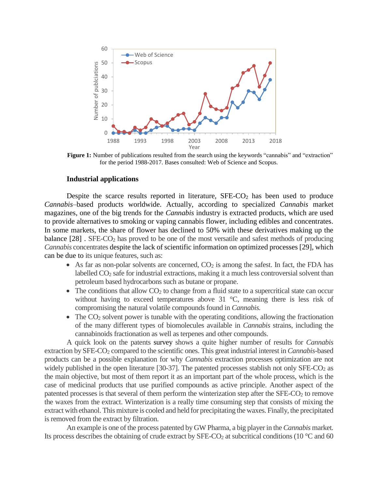

**Figure 1:** Number of publications resulted from the search using the keywords "cannabis" and "extraction" for the period 1988-2017. Bases consulted: Web of Science and Scopus.

#### **Industrial applications**

Despite the scarce results reported in literature,  $SFE-CO<sub>2</sub>$  has been used to produce *Cannabis*–based products worldwide. Actually, according to specialized *Cannabis* market magazines, one of the big trends for the *Cannabis* industry is extracted products, which are used to provide alternatives to smoking or vaping cannabis flower, including edibles and concentrates. In some markets, the share of flower has declined to 50% with these derivatives making up the balance [\[28\]](#page-7-3). SFE-CO<sub>2</sub> has proved to be one of the most versatile and safest methods of producing *Cannabis* concentrates despite the lack of scientific information on optimized processes [\[29\]](#page-7-4), which can be due to its unique features, such as:

- $\bullet$  As far as non-polar solvents are concerned,  $CO<sub>2</sub>$  is among the safest. In fact, the FDA has labelled  $CO<sub>2</sub>$  safe for industrial extractions, making it a much less controversial solvent than petroleum based hydrocarbons such as butane or propane.
- $\bullet$  The conditions that allow CO<sub>2</sub> to change from a fluid state to a supercritical state can occur without having to exceed temperatures above 31 °C, meaning there is less risk of compromising the natural volatile compounds found in *Cannabis.*
- $\bullet$  The CO<sub>2</sub> solvent power is tunable with the operating conditions, allowing the fractionation of the many different types of biomolecules available in *Cannabis* strains, including the cannabinoids fractionation as well as terpenes and other compounds.

A quick look on the patents survey shows a quite higher number of results for *Cannabis* extraction by SFE-CO<sup>2</sup> compared to the scientific ones. This great industrial interest in *Cannabis*-based products can be a possible explanation for why *Cannabis* extraction processes optimization are not widely published in the open literature [\[30-37\]](#page-7-5). The patented processes stablish not only  $SFE-CO<sub>2</sub>$  as the main objective, but most of them report it as an important part of the whole process, which is the case of medicinal products that use purified compounds as active principle. Another aspect of the patented processes is that several of them perform the winterization step after the  $SFE-CO<sub>2</sub>$  to remove the waxes from the extract. Winterization is a really time consuming step that consists of mixing the extract with ethanol. This mixture is cooled and held for precipitating the waxes. Finally, the precipitated is removed from the extract by filtration.

An example is one of the process patented by GW Pharma, a big player in the *Cannabis* market*.* Its process describes the obtaining of crude extract by  $SFE-CO<sub>2</sub>$  at subcritical conditions (10 °C and 60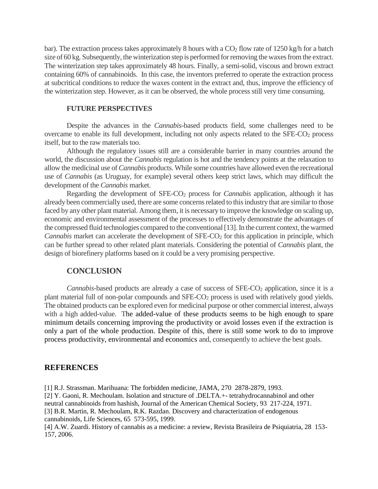bar). The extraction process takes approximately 8 hours with a  $CO<sub>2</sub>$  flow rate of 1250 kg/h for a batch size of 60 kg. Subsequently, the winterization step is performed for removing the waxes from the extract. The winterization step takes approximately 48 hours. Finally, a semi-solid, viscous and brown extract containing 60% of cannabinoids. In this case, the inventors preferred to operate the extraction process at subcritical conditions to reduce the waxes content in the extract and, thus, improve the efficiency of the winterization step. However, as it can be observed, the whole process still very time consuming.

#### **FUTURE PERSPECTIVES**

Despite the advances in the *Cannabis*-based products field, some challenges need to be overcame to enable its full development, including not only aspects related to the SFE-CO<sup>2</sup> process itself, but to the raw materials too.

Although the regulatory issues still are a considerable barrier in many countries around the world, the discussion about the *Cannabis* regulation is hot and the tendency points at the relaxation to allow the medicinal use of *Cannabis* products. While some countries have allowed even the recreational use of *Cannabis* (as Uruguay, for example) several others keep strict laws, which may difficult the development of the *Cannabis* market.

Regarding the development of SFE-CO<sup>2</sup> process for *Cannabis* application, although it has already been commercially used, there are some concerns related to this industry that are similar to those faced by any other plant material. Among them, it is necessary to improve the knowledge on scaling up, economic and environmental assessment of the processes to effectively demonstrate the advantages of the compressed fluid technologies compared to the conventional [13]. In the current context, the warmed *Cannabis* market can accelerate the development of SFE-CO<sub>2</sub> for this application in principle, which can be further spread to other related plant materials. Considering the potential of *Cannabis* plant, the design of biorefinery platforms based on it could be a very promising perspective.

### **CONCLUSION**

*Cannabis*-based products are already a case of success of SFE-CO<sub>2</sub> application, since it is a plant material full of non-polar compounds and SFE-CO<sub>2</sub> process is used with relatively good yields. The obtained products can be explored even for medicinal purpose or other commercial interest, always with a high added-value. The added-value of these products seems to be high enough to spare minimum details concerning improving the productivity or avoid losses even if the extraction is only a part of the whole production. Despite of this, there is still some work to do to improve process productivity, environmental and economics and, consequently to achieve the best goals.

#### **REFERENCES**

<span id="page-5-1"></span><span id="page-5-0"></span>[1] R.J. Strassman. Marihuana: The forbidden medicine, JAMA, 270 2878-2879, 1993. [2] Y. Gaoni, R. Mechoulam. Isolation and structure of .DELTA.+- tetrahydrocannabinol and other neutral cannabinoids from hashish, Journal of the American Chemical Society, 93 217-224, 1971. [3] B.R. Martin, R. Mechoulam, R.K. Razdan. Discovery and characterization of endogenous cannabinoids, Life Sciences, 65 573-595, 1999.

<span id="page-5-3"></span><span id="page-5-2"></span>[4] A.W. Zuardi. History of cannabis as a medicine: a review, Revista Brasileira de Psiquiatria, 28 153- 157, 2006.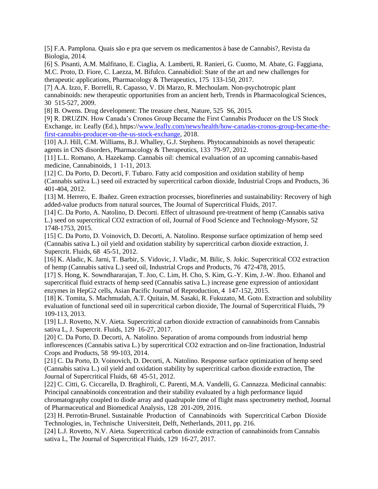<span id="page-6-0"></span>[5] F.A. Pamplona. Quais são e pra que servem os medicamentos à base de Cannabis?, Revista da Biologia, 2014.

<span id="page-6-1"></span>[6] S. Pisanti, A.M. Malfitano, E. Ciaglia, A. Lamberti, R. Ranieri, G. Cuomo, M. Abate, G. Faggiana, M.C. Proto, D. Fiore, C. Laezza, M. Bifulco. Cannabidiol: State of the art and new challenges for therapeutic applications, Pharmacology & Therapeutics, 175 133-150, 2017.

<span id="page-6-2"></span>[7] A.A. Izzo, F. Borrelli, R. Capasso, V. Di Marzo, R. Mechoulam. Non-psychotropic plant cannabinoids: new therapeutic opportunities from an ancient herb, Trends in Pharmacological Sciences, 30 515-527, 2009.

<span id="page-6-3"></span>[8] B. Owens. Drug development: The treasure chest, Nature, 525 S6, 2015.

<span id="page-6-4"></span>[9] R. DRUZIN. How Canada's Cronos Group Became the First Cannabis Producer on the US Stock Exchange, in: Leafly (Ed.), https:/[/www.leafly.com/news/health/how-canadas-cronos-group-became-the](http://www.leafly.com/news/health/how-canadas-cronos-group-became-the-first-cannabis-producer-on-the-us-stock-exchange)[first-cannabis-producer-on-the-us-stock-exchange,](http://www.leafly.com/news/health/how-canadas-cronos-group-became-the-first-cannabis-producer-on-the-us-stock-exchange) 2018.

<span id="page-6-5"></span>[10] A.J. Hill, C.M. Williams, B.J. Whalley, G.J. Stephens. Phytocannabinoids as novel therapeutic agents in CNS disorders, Pharmacology & Therapeutics, 133 79-97, 2012.

<span id="page-6-6"></span>[11] L.L. Romano, A. Hazekamp. Cannabis oil: chemical evaluation of an upcoming cannabis-based medicine, Cannabinoids, 1 1-11, 2013.

<span id="page-6-7"></span>[12] C. Da Porto, D. Decorti, F. Tubaro. Fatty acid composition and oxidation stability of hemp (Cannabis sativa L.) seed oil extracted by supercritical carbon dioxide, Industrial Crops and Products, 36 401-404, 2012.

<span id="page-6-8"></span>[13] M. Herrero, E. Ibañez. Green extraction processes, biorefineries and sustainability: Recovery of high added-value products from natural sources, The Journal of Supercritical Fluids, 2017.

<span id="page-6-9"></span>[14] C. Da Porto, A. Natolino, D. Decorti. Effect of ultrasound pre-treatment of hemp (Cannabis sativa L.) seed on supercritical CO2 extraction of oil, Journal of Food Science and Technology-Mysore, 52 1748-1753, 2015.

<span id="page-6-15"></span>[15] C. Da Porto, D. Voinovich, D. Decorti, A. Natolino. Response surface optimization of hemp seed (Cannabis sativa L.) oil yield and oxidation stability by supercritical carbon dioxide extraction, J. Supercrit. Fluids, 68 45-51, 2012.

<span id="page-6-12"></span>[16] K. Aladic, K. Jarni, T. Barbir, S. Vidovic, J. Vladic, M. Bilic, S. Jokic. Supercritical CO2 extraction of hemp (Cannabis sativa L.) seed oil, Industrial Crops and Products, 76 472-478, 2015.

<span id="page-6-14"></span>[17] S. Hong, K. Sowndhararajan, T. Joo, C. Lim, H. Cho, S. Kim, G.-Y. Kim, J.-W. Jhoo. Ethanol and supercritical fluid extracts of hemp seed (Cannabis sativa L.) increase gene expression of antioxidant enzymes in HepG2 cells, Asian Pacific Journal of Reproduction, 4 147-152, 2015.

[18] K. Tomita, S. Machmudah, A.T. Quitain, M. Sasaki, R. Fukuzato, M. Goto. Extraction and solubility evaluation of functional seed oil in supercritical carbon dioxide, The Journal of Supercritical Fluids, 79 109-113, 2013.

<span id="page-6-10"></span>[19] L.J. Rovetto, N.V. Aieta. Supercritical carbon dioxide extraction of cannabinoids from Cannabis sativa L, J. Supercrit. Fluids, 129 16-27, 2017.

<span id="page-6-11"></span>[20] C. Da Porto, D. Decorti, A. Natolino. Separation of aroma compounds from industrial hemp inflorescences (Cannabis sativa L.) by supercritical CO2 extraction and on-line fractionation, Industrial Crops and Products, 58 99-103, 2014.

<span id="page-6-13"></span>[21] C. Da Porto, D. Voinovich, D. Decorti, A. Natolino. Response surface optimization of hemp seed (Cannabis sativa L.) oil yield and oxidation stability by supercritical carbon dioxide extraction, The Journal of Supercritical Fluids, 68 45-51, 2012.

<span id="page-6-16"></span>[22] C. Citti, G. Ciccarella, D. Braghiroli, C. Parenti, M.A. Vandelli, G. Cannazza. Medicinal cannabis: Principal cannabinoids concentration and their stability evaluated by a high performance liquid chromatography coupled to diode array and quadrupole time of flight mass spectrometry method, Journal of Pharmaceutical and Biomedical Analysis, 128 201-209, 2016.

<span id="page-6-17"></span>[23] H. Perrotin-Brunel. Sustainable Production of Cannabinoids with Supercritical Carbon Dioxide Technologies, in, Technische Universiteit, Delft, Netherlands, 2011, pp. 216.

<span id="page-6-18"></span>[24] L.J. Rovetto, N.V. Aieta. Supercritical carbon dioxide extraction of cannabinoids from Cannabis sativa L, The Journal of Supercritical Fluids, 129 16-27, 2017.